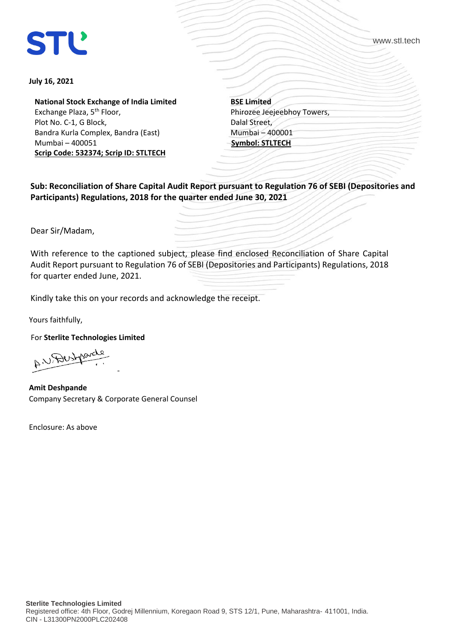# **STL**

www.stl.tech

#### **July 16, 2021**

**National Stock Exchange of India Limited** Exchange Plaza, 5<sup>th</sup> Floor, Plot No. C-1, G Block, Bandra Kurla Complex, Bandra (East) Mumbai – 400051 **Scrip Code: 532374; Scrip ID: STLTECH**

**BSE Limited** Phirozee Jeejeebhoy Towers, Dalal Street, Mumbai – 400001 **Symbol: STLTECH**

**Sub: Reconciliation of Share Capital Audit Report pursuant to Regulation 76 of SEBI (Depositories and Participants) Regulations, 2018 for the quarter ended June 30, 2021** 

Dear Sir/Madam,

With reference to the captioned subject, please find enclosed Reconciliation of Share Capital Audit Report pursuant to Regulation 76 of SEBI (Depositories and Participants) Regulations, 2018 for quarter ended June, 2021.

Kindly take this on your records and acknowledge the receipt.

Yours faithfully,

For **Sterlite Technologies Limited**

A.V. Destroyed -

 **Amit Deshpande**  Company Secretary & Corporate General Counsel

Enclosure: As above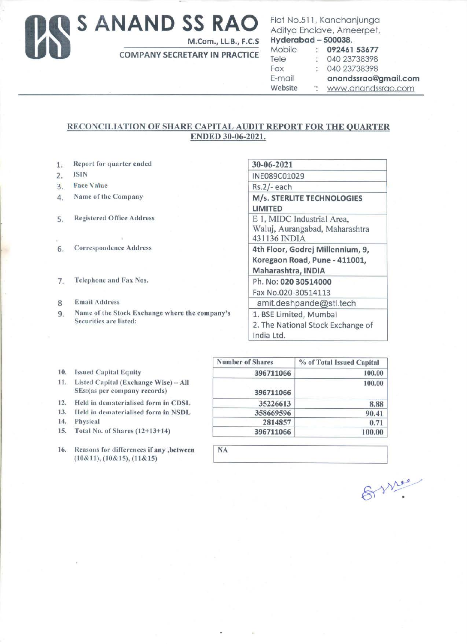## Us **S ANAND SS RAO**

M.Com., LL.B., F.C.S

COMPANY SECRETARY IN PRACTICE

### Flat No.511, Kanchanjunga Aditya Enclave, Ameerpet, **Hyderabad - 500038.**<br>Mobile : 092461 Mobile : **092461 53677**<br>Tele : 040 23738398  $: 040 23738398$ Fax 040 23738398 E-mail anandssrao@gmail.com

Website : www.anandssrao.com

### RECONCILIATION **OF SHARE CAPITAL** AUDIT **REPORT FOR THE QUARTER ENDED** 30-06-2021.

**NA** 

- 1. Report for quarter ended
- 2. ISIN
- 3. Face Value
- 4. Name of the Company
- 5. Registered Office Address
- 6. Correspondence Address
- 7. Telephone and Fax Nos.
- 8 Email Address
- 9. Name of the Stock Exchange where the company's Securities are listed:

| 30-06-2021                        |  |
|-----------------------------------|--|
| INE089C01029                      |  |
| Rs.2/- each                       |  |
| M/s. STERLITE TECHNOLOGIES        |  |
| LIMITED                           |  |
| E 1, MIDC Industrial Area,        |  |
| Waluj, Aurangabad, Maharashtra    |  |
| 431136 INDIA                      |  |
| 4th Floor, Godrej Millennium, 9,  |  |
| Koregaon Road, Pune - 411001,     |  |
| Maharashtra, INDIA                |  |
| Ph. No: 020 30514000              |  |
| Fax No.020-30514113               |  |
| amit.deshpande@stl.tech           |  |
| 1. BSE Limited, Mumbai            |  |
| 2. The National Stock Exchange of |  |
| India Ltd.                        |  |

- **10.** Issued Capital Equity
- **11.** Listed Capital (Exchange **Wise)- All**  SEs:(as per company records)
- 12. Held in dematerialised form in CDSL
- 13. Held in dematerialised form in NSDL
- 14. Physical
- 15. Total No. of Shares (12+13+ 14)
- 16. Reasons for differences if any ,between  $(10&11), (10&15), (11&15)$

| <b>Number of Shares</b> | % of Total Issued Capital |
|-------------------------|---------------------------|
| 396711066               | 100.00                    |
| 396711066               | 100.00                    |
| 35226613                | 8.88                      |
| 358669596               | 90.41                     |
| 2814857                 | 0.71                      |
| 396711066               | 100.00                    |

Syries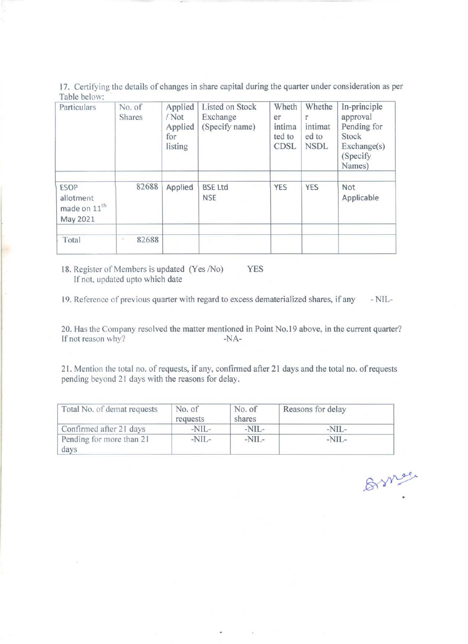17. Certifying the details of changes in share capital during the quarter under consideration as per Table below:

| Particulars                                                      | No. of<br><b>Shares</b> | Applied<br>/Not<br>Applied<br>for<br>listing | Listed on Stock<br>Exchange<br>(Specify name) | Wheth<br>er<br>intima<br>ted to<br><b>CDSL</b> | Whethe<br>intimat<br>ed to<br><b>NSDL</b> | In-principle<br>approval<br>Pending for<br>Stock<br>Exchange(s)<br>(Specify)<br>Names) |
|------------------------------------------------------------------|-------------------------|----------------------------------------------|-----------------------------------------------|------------------------------------------------|-------------------------------------------|----------------------------------------------------------------------------------------|
| <b>ESOP</b><br>allotment<br>made on 11 <sup>th</sup><br>May 2021 | 82688                   | Applied                                      | <b>BSE Ltd</b><br><b>NSE</b>                  | <b>YES</b>                                     | <b>YES</b>                                | Not<br>Applicable                                                                      |
| Total                                                            | 82688                   |                                              |                                               |                                                |                                           |                                                                                        |

18. Register of Members is updated (Yes /No) YES If not, updated upto which date

19. Reference of previous quarter with regard to excess dematerialized shares, if any -NIL-

20. Has the Company resolved the matter mentioned in Point No.19 above, in the current quarter?<br>If not reason why?<br> $-NA-$ If not reason why?

21. Mention the total no. of requests, if any, confirmed after 21 days and the total no. of requests pending beyond 21 days with the reasons for delay.

| Total No. of demat requests      | No. of<br>requests | No. of<br>shares | Reasons for delay |
|----------------------------------|--------------------|------------------|-------------------|
| Confirmed after 21 days          | $-NIL-$            | $-NIL-$          | $-NIL-$           |
| Pending for more than 21<br>days | $-NIL-$            | $-NIL-$          | $-NIL-$           |

Brnee